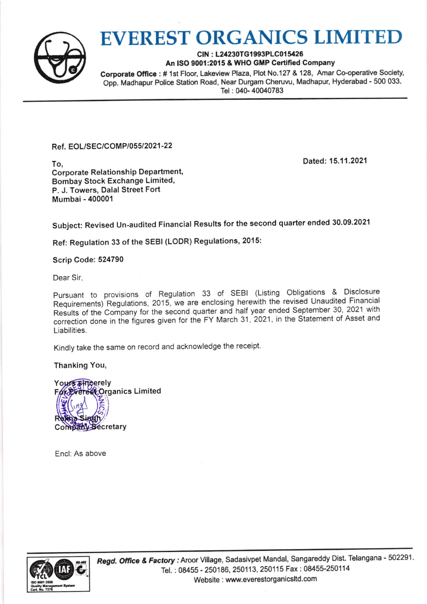

## EVEREST ORGANICS LIMITED

CIN: L24230TG1993PLC015426 An ISO 9001:2015 & WHO GMP Certified Company

Corporate Office: # 1st Floor, Lakeview Plaza, Plot No.127 & 128, Amar Co-operative Society, Opp. Madhapur Police Station Road, Near Durgam Cheruvu, Madhapur, Hyderabad - 500 033. Tel: 040-40040783

Ref. EOL/SEC/COMP/055/2021-22

Dated: 15.11.2021

To, Corporate Relationship Department' Bombay Stock Exchange Limited, P. J. Towers, Dalal Street Fort Mumbai - 400001

subject: Revised un-audited Financial Results for the second quarter ended 30.09.2021

Ref: Regulation 33 of the SEBI (LODR) Regulations, 2015:

Scrip Code: 524790

Dear Sir,

pursuant to provisions of Regulation 33 of sEBl (Listing obligations & Disclosure Requirements) Regulations, 2015, we are enclosing herewith the revised Unaudited Financial Results of the Company for the second quarter and half year ended September 30, 2021 with Liabilities. correction done in the figures given for the FY March 31, 2021, in the Statement of Asset and

Kindly take the same on record and acknowledge the receipt.

Thanking You,

Your<del>s streerely</del> For Everest Organics Limited Company Secretary

Encl: As above